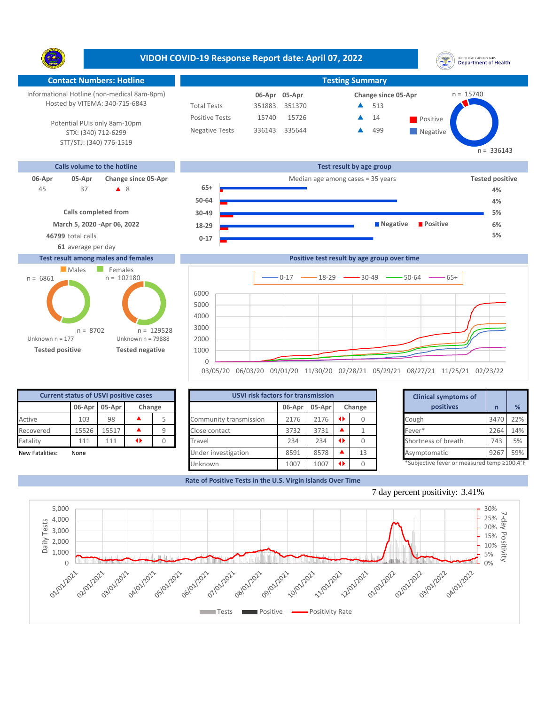Y. **Contact Numbers: Hotline Testing Summary** Informational Hotline (non-medical 8am-8pm)  $n = 15740$ **05-Apr 06-Apr Change since 05-Apr** Hosted by VITEMA: 340-715-6843 Total Tests 351883 351370 513 ▲ Positive Tests 15740 15726  $\triangle$  14 Positive  $\blacktriangle$ 14 Potential PUIs only 8am-10pm Negative Tests 336143 335644 499 ▲ **Negative** STX: (340) 712-6299 STT/STJ: (340) 776-1519 **Calls volume to the hotline Test result by age group**



**Confirmed cases**

## **Test result among males and females**



Unknown

|                 |       |                                                                         |                 | 03/05/20 06/03/20 09/01/20 11/30/20 02/28/21 05/29/21 08/27/21 11/25/21 02/23/22 |        |        |        |                     |                             |      |     |
|-----------------|-------|-------------------------------------------------------------------------|-----------------|----------------------------------------------------------------------------------|--------|--------|--------|---------------------|-----------------------------|------|-----|
|                 |       |                                                                         |                 | <b>USVI risk factors for transmission</b>                                        |        |        |        |                     | <b>Clinical symptoms of</b> |      |     |
|                 |       | <b>Current status of USVI positive cases</b><br>06-Apr 05-Apr<br>Change |                 |                                                                                  | 06-Apr | 05-Apr | Change |                     | positives                   |      | %   |
| Active          | 103   | 98                                                                      |                 | Community transmission                                                           | 2176   | 2176   |        | Cough               |                             | 3470 | 22% |
| Recovered       | 15526 | 15517                                                                   |                 | Close contact                                                                    | 3732   | 3731   |        | Fever*              |                             | 2264 | 14% |
| Fatality        | 111   | 111                                                                     | $\blacklozenge$ | Travel                                                                           | 234    | 234    |        | Shortness of breath |                             | 743  | 5%  |
| New Fatalities: | None  |                                                                         |                 | Under investigation                                                              | 8591   | 8578   | 13     | Asymptomatic        |                             | 9267 | 59% |

|        | for transmission |        |    | <b>Clinical symptoms of</b>                 |      |     |
|--------|------------------|--------|----|---------------------------------------------|------|-----|
| 06-Apr | 05-Apr           | Change |    | positives                                   | n    | %   |
| 2176   | 2176             | O      | 0  | Cough                                       | 3470 | 22% |
| 3732   | 3731             |        | 1  | Fever*                                      | 2264 | 14% |
| 234    | 234              | O      | O  | Shortness of breath                         | 743  | 5%  |
| 8591   | 8578             |        | 13 | Asymptomatic                                | 9267 | 59% |
| 1007   | 1007             | O      | 0  | *Subjective fever or measured temp ≥100.4°F |      |     |

**Rate of Positive Tests in the U.S. Virgin Islands Over Time**





## **VIDOH COVID-19 Response Report date: April 07, 2022**

 $n = 336143$ 

**Positive test result by age group over time**  $0-17$   $\longrightarrow$  18-29  $\longrightarrow$  30-49  $\longrightarrow$  50-64  $\longrightarrow$  65+

UNITED STATES VIRGIN SLANDS<br>Department of Health